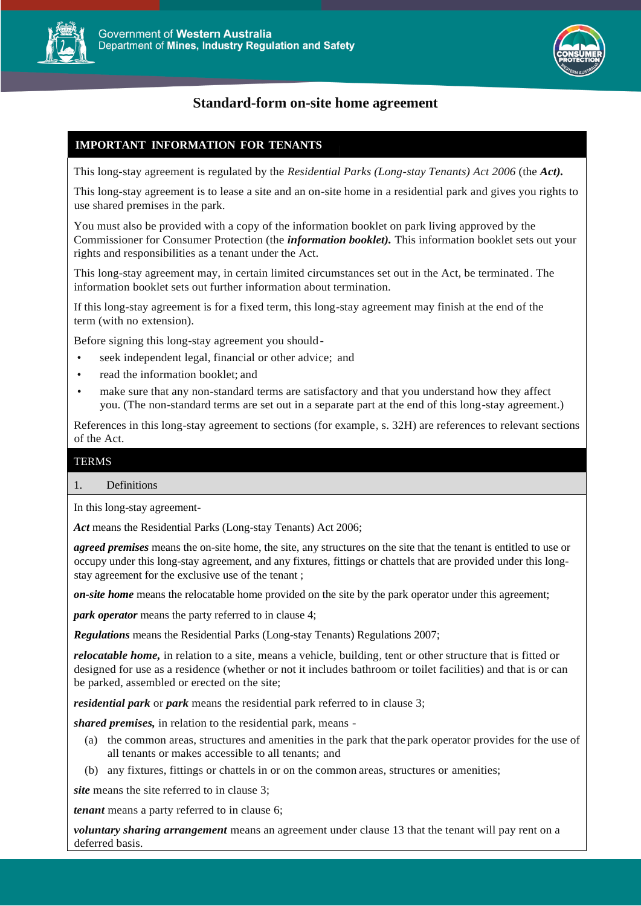



# **Standard-form on-site home agreement**

## **IMPORTANT INFORMATION FOR TENANTS**

This long-stay agreement is regulated by the *Residential Parks (Long-stay Tenants) Act 2006* (the *Act).*

This long-stay agreement is to lease a site and an on-site home in a residential park and gives you rights to use shared premises in the park.

You must also be provided with a copy of the information booklet on park living approved by the Commissioner for Consumer Protection (the *information booklet).* This information booklet sets out your rights and responsibilities as a tenant under the Act.

This long-stay agreement may, in certain limited circumstances set out in the Act, be terminated. The information booklet sets out further information about termination.

If this long-stay agreement is for a fixed term, this long-stay agreement may finish at the end of the term (with no extension).

Before signing this long-stay agreement you should-

- seek independent legal, financial or other advice; and
- read the information booklet; and
- make sure that any non-standard terms are satisfactory and that you understand how they affect you. (The non-standard terms are set out in a separate part at the end of this long-stay agreement.)

References in this long-stay agreement to sections (for example, s. 32H) are references to relevant sections of the Act.

## TERMS

#### 1. Definitions

In this long-stay agreement-

*Act* means the Residential Parks (Long-stay Tenants) Act 2006;

*agreed premises* means the on-site home, the site, any structures on the site that the tenant is entitled to use or occupy under this long-stay agreement, and any fixtures, fittings or chattels that are provided under this longstay agreement for the exclusive use of the tenant ;

*on-site home* means the relocatable home provided on the site by the park operator under this agreement;

*park operator* means the party referred to in clause 4;

*Regulations* means the Residential Parks (Long-stay Tenants) Regulations 2007;

*relocatable home,* in relation to a site, means a vehicle, building, tent or other structure that is fitted or designed for use as a residence (whether or not it includes bathroom or toilet facilities) and that is or can be parked, assembled or erected on the site;

*residential park* or *park* means the residential park referred to in clause 3;

*shared premises,* in relation to the residential park, means -

- (a) the common areas, structures and amenities in the park that the park operator provides for the use of all tenants or makes accessible to all tenants; and
- (b) any fixtures, fittings or chattels in or on the common areas, structures or amenities;

*site* means the site referred to in clause 3;

*tenant* means a party referred to in clause 6;

*voluntary sharing arrangement* means an agreement under clause 13 that the tenant will pay rent on a deferred basis.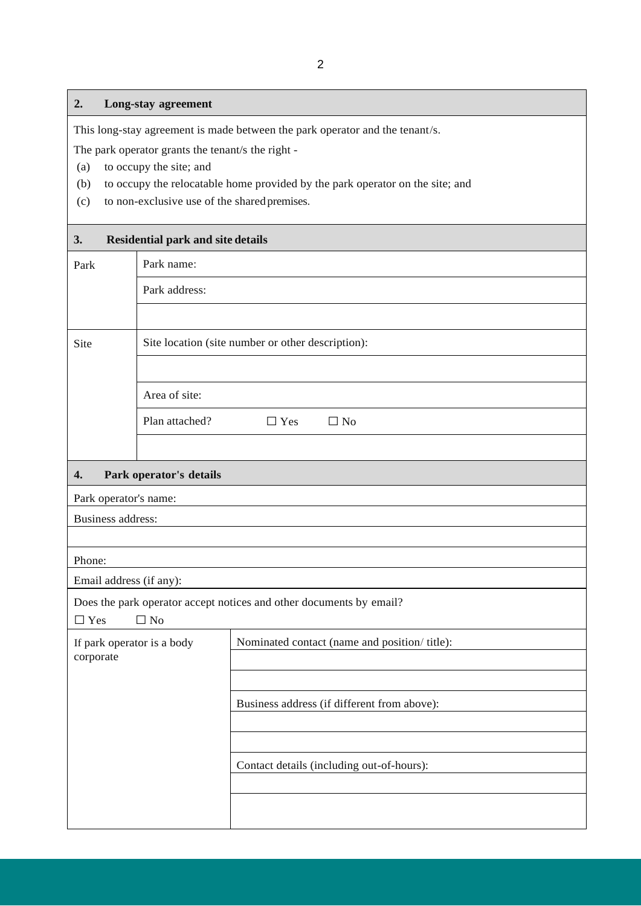## **2. Long-stay agreement**

This long-stay agreement is made between the park operator and the tenant/s.

The park operator grants the tenant/s the right -

- (a) to occupy the site; and
- (b) to occupy the relocatable home provided by the park operator on the site; and
- (c) to non-exclusive use of the sharedpremises.

#### **3. Residential park and site details**

| $\mathbf{3}$                                                                                   | <b>Residential park and site details</b>          |            |                                               |  |
|------------------------------------------------------------------------------------------------|---------------------------------------------------|------------|-----------------------------------------------|--|
| Park name:<br>Park                                                                             |                                                   |            |                                               |  |
|                                                                                                | Park address:                                     |            |                                               |  |
|                                                                                                |                                                   |            |                                               |  |
| Site                                                                                           | Site location (site number or other description): |            |                                               |  |
|                                                                                                |                                                   |            |                                               |  |
|                                                                                                | Area of site:                                     |            |                                               |  |
|                                                                                                | Plan attached?                                    | $\Box$ Yes | $\Box$ No                                     |  |
|                                                                                                |                                                   |            |                                               |  |
| 4.                                                                                             | Park operator's details                           |            |                                               |  |
| Park operator's name:                                                                          |                                                   |            |                                               |  |
|                                                                                                | <b>Business address:</b>                          |            |                                               |  |
|                                                                                                |                                                   |            |                                               |  |
| Phone:                                                                                         |                                                   |            |                                               |  |
|                                                                                                | Email address (if any):                           |            |                                               |  |
| Does the park operator accept notices and other documents by email?<br>$\Box$ No<br>$\Box$ Yes |                                                   |            |                                               |  |
| If park operator is a body                                                                     |                                                   |            | Nominated contact (name and position/ title): |  |
| corporate                                                                                      |                                                   |            |                                               |  |
|                                                                                                |                                                   |            |                                               |  |
|                                                                                                |                                                   |            | Business address (if different from above):   |  |
|                                                                                                |                                                   |            |                                               |  |
|                                                                                                |                                                   |            |                                               |  |
|                                                                                                |                                                   |            | Contact details (including out-of-hours):     |  |
|                                                                                                |                                                   |            |                                               |  |
|                                                                                                |                                                   |            |                                               |  |
|                                                                                                |                                                   |            |                                               |  |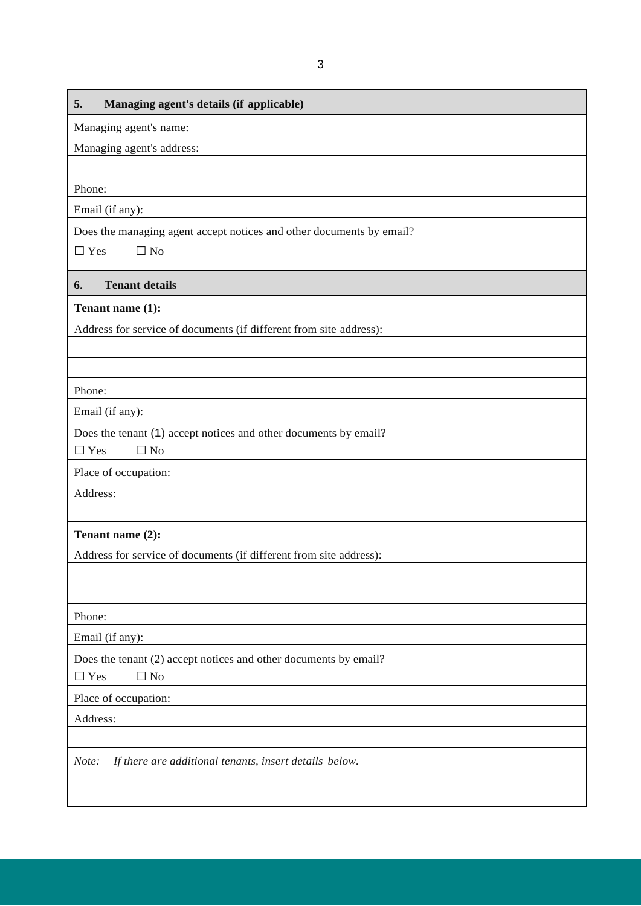| 5.                                                                                          |
|---------------------------------------------------------------------------------------------|
| Managing agent's details (if applicable)                                                    |
| Managing agent's name:                                                                      |
| Managing agent's address:                                                                   |
| Phone:                                                                                      |
| Email (if any):                                                                             |
| Does the managing agent accept notices and other documents by email?                        |
| $\Box$ Yes<br>$\Box$ No                                                                     |
| <b>Tenant details</b><br>6.                                                                 |
| Tenant name (1):                                                                            |
| Address for service of documents (if different from site address):                          |
|                                                                                             |
|                                                                                             |
| Phone:                                                                                      |
| Email (if any):                                                                             |
| Does the tenant (1) accept notices and other documents by email?                            |
| $\Box$ No<br>$\Box$ Yes                                                                     |
| Place of occupation:                                                                        |
| Address:                                                                                    |
|                                                                                             |
| Tenant name (2):                                                                            |
| Address for service of documents (if different from site address):                          |
|                                                                                             |
|                                                                                             |
| Phone:                                                                                      |
| Email (if any):                                                                             |
| Does the tenant (2) accept notices and other documents by email?<br>$\Box$ No<br>$\Box$ Yes |
| Place of occupation:                                                                        |
| Address:                                                                                    |
|                                                                                             |
| If there are additional tenants, insert details below.<br>Note:                             |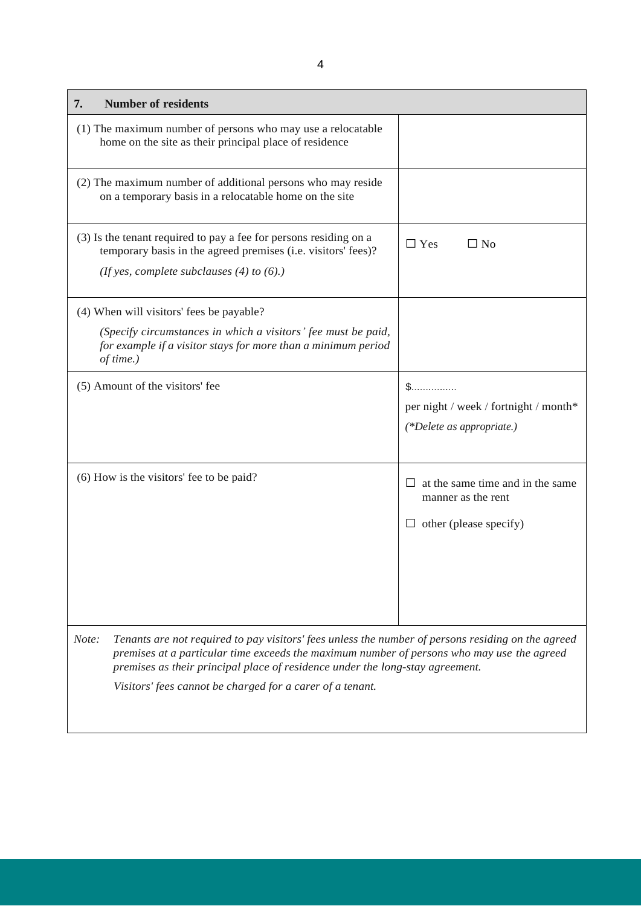| <b>Number of residents</b><br>7.                                                                                                                                                                                                                                                                                                                        |                                                                                         |
|---------------------------------------------------------------------------------------------------------------------------------------------------------------------------------------------------------------------------------------------------------------------------------------------------------------------------------------------------------|-----------------------------------------------------------------------------------------|
| (1) The maximum number of persons who may use a relocatable<br>home on the site as their principal place of residence                                                                                                                                                                                                                                   |                                                                                         |
| (2) The maximum number of additional persons who may reside<br>on a temporary basis in a relocatable home on the site                                                                                                                                                                                                                                   |                                                                                         |
| (3) Is the tenant required to pay a fee for persons residing on a<br>temporary basis in the agreed premises (i.e. visitors' fees)?<br>(If yes, complete subclauses $(4)$ to $(6)$ .)                                                                                                                                                                    | $\Box$ Yes<br>$\Box$ No                                                                 |
| (4) When will visitors' fees be payable?                                                                                                                                                                                                                                                                                                                |                                                                                         |
| (Specify circumstances in which a visitors' fee must be paid,<br>for example if a visitor stays for more than a minimum period<br>of time.)                                                                                                                                                                                                             |                                                                                         |
| (5) Amount of the visitors' fee                                                                                                                                                                                                                                                                                                                         | S.<br>per night / week / fortnight / month*<br>$(*Delete as appropriate.)$              |
| (6) How is the visitors' fee to be paid?                                                                                                                                                                                                                                                                                                                | at the same time and in the same<br>manner as the rent<br>$\Box$ other (please specify) |
| Tenants are not required to pay visitors' fees unless the number of persons residing on the agreed<br>Note:<br>premises at a particular time exceeds the maximum number of persons who may use the agreed<br>premises as their principal place of residence under the long-stay agreement.<br>Visitors' fees cannot be charged for a carer of a tenant. |                                                                                         |
|                                                                                                                                                                                                                                                                                                                                                         |                                                                                         |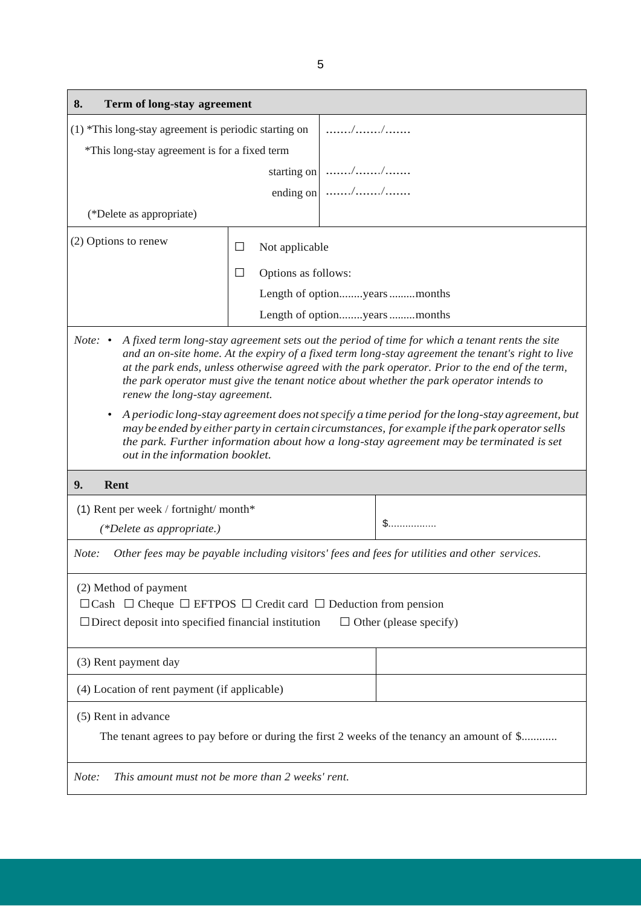| Term of long-stay agreement<br>8.                                                                                                                                                                                                                                                                                                                                                                                                                              |                               |                             |  |
|----------------------------------------------------------------------------------------------------------------------------------------------------------------------------------------------------------------------------------------------------------------------------------------------------------------------------------------------------------------------------------------------------------------------------------------------------------------|-------------------------------|-----------------------------|--|
| $(1)$ *This long-stay agreement is periodic starting on                                                                                                                                                                                                                                                                                                                                                                                                        |                               |                             |  |
| *This long-stay agreement is for a fixed term                                                                                                                                                                                                                                                                                                                                                                                                                  |                               |                             |  |
|                                                                                                                                                                                                                                                                                                                                                                                                                                                                |                               | starting on $ $ //          |  |
|                                                                                                                                                                                                                                                                                                                                                                                                                                                                |                               | ending on $\Big $ //        |  |
| (*Delete as appropriate)                                                                                                                                                                                                                                                                                                                                                                                                                                       |                               |                             |  |
| (2) Options to renew                                                                                                                                                                                                                                                                                                                                                                                                                                           | Not applicable<br>$\Box$      |                             |  |
|                                                                                                                                                                                                                                                                                                                                                                                                                                                                | Options as follows:<br>$\Box$ |                             |  |
|                                                                                                                                                                                                                                                                                                                                                                                                                                                                |                               | Length of optionyearsmonths |  |
|                                                                                                                                                                                                                                                                                                                                                                                                                                                                |                               | Length of optionyearsmonths |  |
| A fixed term long-stay agreement sets out the period of time for which a tenant rents the site<br><i>Note:</i> $\bullet$<br>and an on-site home. At the expiry of a fixed term long-stay agreement the tenant's right to live<br>at the park ends, unless otherwise agreed with the park operator. Prior to the end of the term,<br>the park operator must give the tenant notice about whether the park operator intends to<br>renew the long-stay agreement. |                               |                             |  |
| A periodic long-stay agreement does not specify a time period for the long-stay agreement, but<br>may be ended by either party in certain circumstances, for example if the park operator sells<br>the park. Further information about how a long-stay agreement may be terminated is set<br>out in the information booklet.                                                                                                                                   |                               |                             |  |
| 9.<br><b>Rent</b>                                                                                                                                                                                                                                                                                                                                                                                                                                              |                               |                             |  |
| (1) Rent per week / fortnight/ month*<br>(*Delete as appropriate.)                                                                                                                                                                                                                                                                                                                                                                                             |                               |                             |  |
| Other fees may be payable including visitors' fees and fees for utilities and other services.<br>Note:                                                                                                                                                                                                                                                                                                                                                         |                               |                             |  |
| (2) Method of payment<br>$\Box$ Cash $\Box$ Cheque $\Box$ EFTPOS $\Box$ Credit card $\Box$ Deduction from pension<br>$\Box$ Direct deposit into specified financial institution<br>$\Box$ Other (please specify)                                                                                                                                                                                                                                               |                               |                             |  |
| (3) Rent payment day                                                                                                                                                                                                                                                                                                                                                                                                                                           |                               |                             |  |
| (4) Location of rent payment (if applicable)                                                                                                                                                                                                                                                                                                                                                                                                                   |                               |                             |  |
| (5) Rent in advance<br>The tenant agrees to pay before or during the first 2 weeks of the tenancy an amount of \$                                                                                                                                                                                                                                                                                                                                              |                               |                             |  |
| This amount must not be more than 2 weeks' rent.<br>Note:                                                                                                                                                                                                                                                                                                                                                                                                      |                               |                             |  |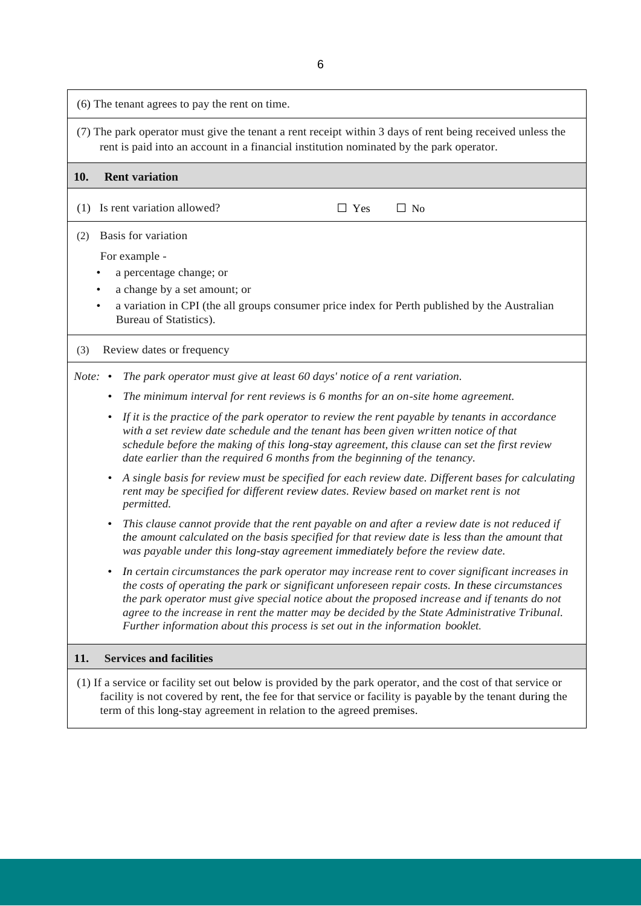(6) The tenant agrees to pay the rent on time. (7) The park operator must give the tenant a rent receipt within 3 days of rent being received unless the rent is paid into an account in a financial institution nominated by the park operator. **10. Rent variation** (1) Is rent variation allowed?  $\Box$  Yes  $\Box$  No (2) Basis for variation For example - • a percentage change; or • a change by a set amount; or • a variation in CPI (the all groups consumer price index for Perth published by the Australian Bureau of Statistics). (3) Review dates or frequency *Note:* • *The park operator must give at least 60 days' notice of a rent variation.* • *The minimum interval for rent reviews is 6 months for an on-site home agreement.* • *If it is the practice of the park operator to review the rent payable by tenants in accordance with a set review date schedule and the tenant has been given written notice of that schedule before the making of this long-stay agreement, this clause can set the first review date earlier than the required 6 months from the beginning of the tenancy.* • *A single basis for review must be specified for each review date. Different bases for calculating rent may be specified for different review dates. Review based on market rent is not permitted.* • *This clause cannot provide that the rent payable on and after a review date is not reduced if the amount calculated on the basis specified for that review date is less than the amount that was payable under this long-stay agreement immediately before the review date.* • *In certain circumstances the park operator may increase rent to cover significant increases in the costs of operating the park or significant unforeseen repair costs. In these circumstances the park operator must give special notice about the proposed increase and if tenants do not agree to the increase in rent the matter may be decided by the State Administrative Tribunal. Further information about this process is set out in the information booklet.* **11. Services and facilities** (1) If a service or facility set out below is provided by the park operator, and the cost of that service or

facility is not covered by rent, the fee for that service or facility is payable by the tenant during the

term of this long-stay agreement in relation to the agreed premises.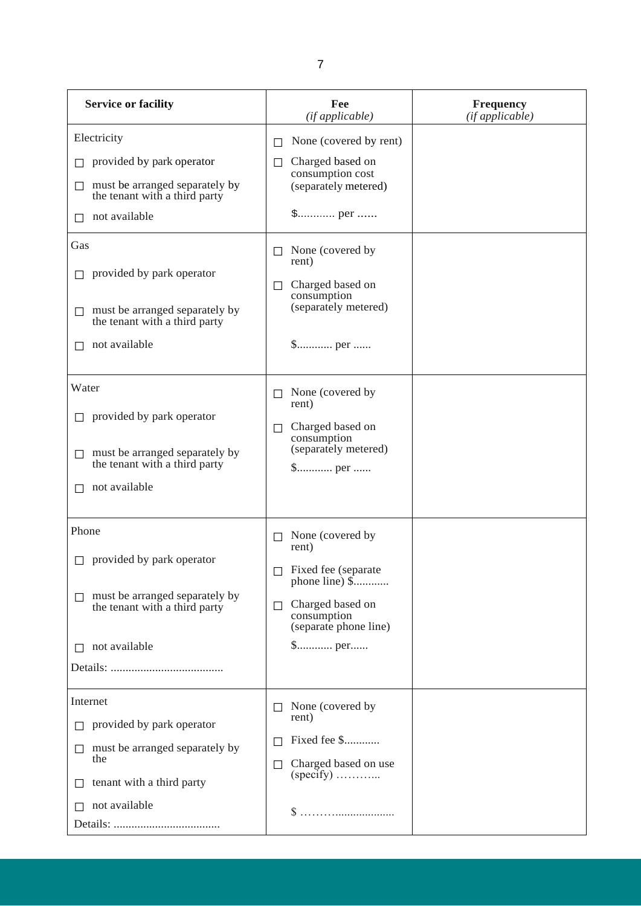| <b>Service or facility</b>                                                                                                                                                                                                                                                         | Fee<br>(if applicable)                                                                                                                                                                                            | <b>Frequency</b><br>(if applicable) |
|------------------------------------------------------------------------------------------------------------------------------------------------------------------------------------------------------------------------------------------------------------------------------------|-------------------------------------------------------------------------------------------------------------------------------------------------------------------------------------------------------------------|-------------------------------------|
| Electricity<br>provided by park operator<br>must be arranged separately by<br>$\Box$<br>the tenant with a third party<br>not available<br>$\Box$<br>Gas<br>provided by park operator<br>must be arranged separately by<br>$\Box$<br>the tenant with a third party<br>not available | None (covered by rent)<br>$\Box$<br>Charged based on<br>$\Box$<br>consumption cost<br>(separately metered)<br>None (covered by<br>$\Box$<br>rent)<br>Charged based on<br>П<br>consumption<br>(separately metered) |                                     |
| Water<br>provided by park operator<br>must be arranged separately by<br>П<br>the tenant with a third party<br>not available                                                                                                                                                        | None (covered by<br>$\perp$<br>rent)<br>Charged based on<br>П<br>consumption<br>(separately metered)                                                                                                              |                                     |
| Phone<br>$\Box$ provided by park operator<br>must be arranged separately by<br>the tenant with a third party<br>not available                                                                                                                                                      | None (covered by<br>П<br>rent)<br>$\Box$ Fixed fee (separate<br>phone line) \$<br>Charged based on<br>$\Box$<br>consumption<br>(separate phone line)                                                              |                                     |
| Internet<br>provided by park operator<br>must be arranged separately by<br>$\Box$<br>the<br>tenant with a third party<br>not available                                                                                                                                             | None (covered by<br>rent)<br>Fixed fee \$<br>Charged based on use<br>$\Box$<br>$(specify)$<br>$\$\ldots\ldots\ldots\ldots\ldots\ldots\ldots\ldots\ldots\ldots$                                                    |                                     |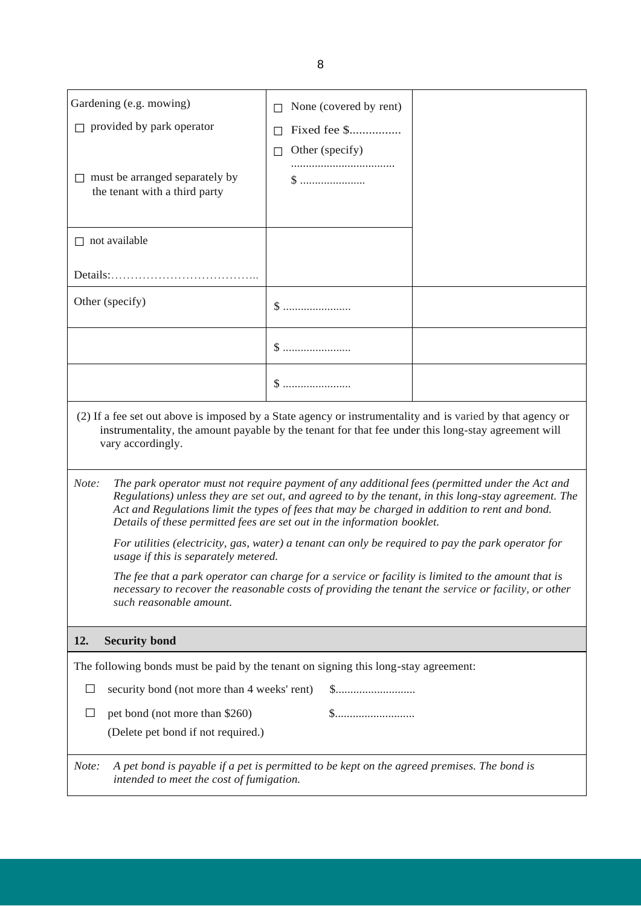| Gardening (e.g. mowing)                                                                                                                                                                                                                                                                                                                                                                    | None (covered by rent) |                                                                                                     |  |  |
|--------------------------------------------------------------------------------------------------------------------------------------------------------------------------------------------------------------------------------------------------------------------------------------------------------------------------------------------------------------------------------------------|------------------------|-----------------------------------------------------------------------------------------------------|--|--|
| $\Box$ provided by park operator                                                                                                                                                                                                                                                                                                                                                           | Fixed fee \$           |                                                                                                     |  |  |
|                                                                                                                                                                                                                                                                                                                                                                                            | Other (specify)<br>П   |                                                                                                     |  |  |
| $\Box$ must be arranged separately by<br>the tenant with a third party                                                                                                                                                                                                                                                                                                                     |                        |                                                                                                     |  |  |
| $\Box$ not available                                                                                                                                                                                                                                                                                                                                                                       |                        |                                                                                                     |  |  |
|                                                                                                                                                                                                                                                                                                                                                                                            |                        |                                                                                                     |  |  |
| Other (specify)                                                                                                                                                                                                                                                                                                                                                                            |                        |                                                                                                     |  |  |
|                                                                                                                                                                                                                                                                                                                                                                                            |                        |                                                                                                     |  |  |
|                                                                                                                                                                                                                                                                                                                                                                                            | $\$\,$                 |                                                                                                     |  |  |
| (2) If a fee set out above is imposed by a State agency or instrumentality and is varied by that agency or<br>instrumentality, the amount payable by the tenant for that fee under this long-stay agreement will<br>vary accordingly.                                                                                                                                                      |                        |                                                                                                     |  |  |
| The park operator must not require payment of any additional fees (permitted under the Act and<br>Note:<br>Regulations) unless they are set out, and agreed to by the tenant, in this long-stay agreement. The<br>Act and Regulations limit the types of fees that may be charged in addition to rent and bond.<br>Details of these permitted fees are set out in the information booklet. |                        |                                                                                                     |  |  |
| For utilities (electricity, gas, water) a tenant can only be required to pay the park operator for<br>usage if this is separately metered.                                                                                                                                                                                                                                                 |                        |                                                                                                     |  |  |
| The fee that a park operator can charge for a service or facility is limited to the amount that is<br>such reasonable amount.                                                                                                                                                                                                                                                              |                        | necessary to recover the reasonable costs of providing the tenant the service or facility, or other |  |  |
| 12.<br><b>Security bond</b>                                                                                                                                                                                                                                                                                                                                                                |                        |                                                                                                     |  |  |
| The following bonds must be paid by the tenant on signing this long-stay agreement:                                                                                                                                                                                                                                                                                                        |                        |                                                                                                     |  |  |
| security bond (not more than 4 weeks' rent)                                                                                                                                                                                                                                                                                                                                                |                        |                                                                                                     |  |  |
| pet bond (not more than \$260)<br>$\perp$                                                                                                                                                                                                                                                                                                                                                  |                        |                                                                                                     |  |  |
| (Delete pet bond if not required.)                                                                                                                                                                                                                                                                                                                                                         |                        |                                                                                                     |  |  |
| A pet bond is payable if a pet is permitted to be kept on the agreed premises. The bond is<br>Note:<br>intended to meet the cost of fumigation.                                                                                                                                                                                                                                            |                        |                                                                                                     |  |  |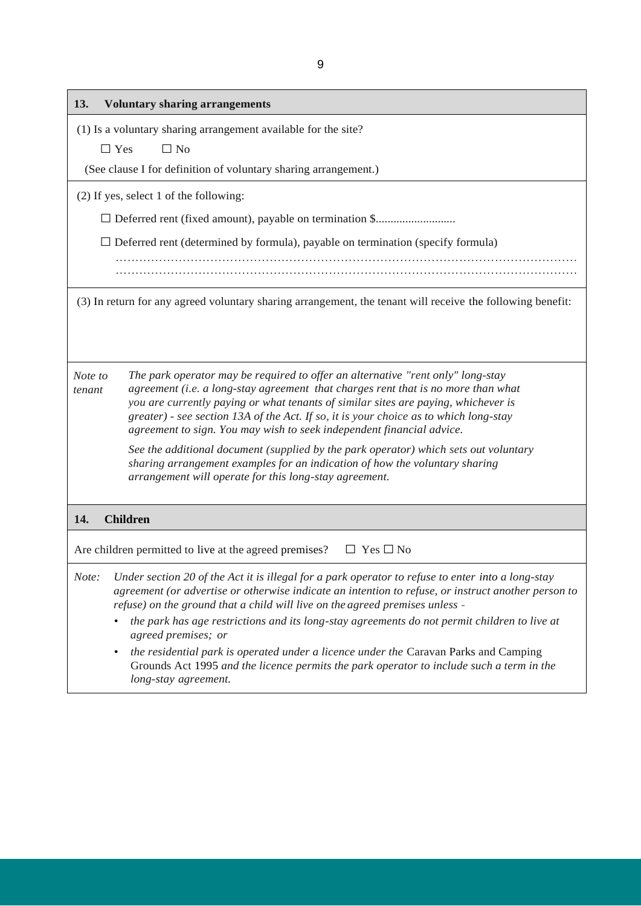| <b>Voluntary sharing arrangements</b><br>13.                                                                                                                                                                                                                                                                                                                                                                                                      |
|---------------------------------------------------------------------------------------------------------------------------------------------------------------------------------------------------------------------------------------------------------------------------------------------------------------------------------------------------------------------------------------------------------------------------------------------------|
| (1) Is a voluntary sharing arrangement available for the site?                                                                                                                                                                                                                                                                                                                                                                                    |
| $\Box$ No<br>$\Box$ Yes                                                                                                                                                                                                                                                                                                                                                                                                                           |
| (See clause I for definition of voluntary sharing arrangement.)                                                                                                                                                                                                                                                                                                                                                                                   |
| (2) If yes, select 1 of the following:                                                                                                                                                                                                                                                                                                                                                                                                            |
|                                                                                                                                                                                                                                                                                                                                                                                                                                                   |
| $\Box$ Deferred rent (determined by formula), payable on termination (specify formula)                                                                                                                                                                                                                                                                                                                                                            |
|                                                                                                                                                                                                                                                                                                                                                                                                                                                   |
| (3) In return for any agreed voluntary sharing arrangement, the tenant will receive the following benefit:                                                                                                                                                                                                                                                                                                                                        |
|                                                                                                                                                                                                                                                                                                                                                                                                                                                   |
|                                                                                                                                                                                                                                                                                                                                                                                                                                                   |
| The park operator may be required to offer an alternative "rent only" long-stay<br>Note to<br>agreement (i.e. a long-stay agreement that charges rent that is no more than what<br>tenant<br>you are currently paying or what tenants of similar sites are paying, whichever is<br>greater) - see section 13A of the Act. If so, it is your choice as to which long-stay<br>agreement to sign. You may wish to seek independent financial advice. |
| See the additional document (supplied by the park operator) which sets out voluntary<br>sharing arrangement examples for an indication of how the voluntary sharing<br>arrangement will operate for this long-stay agreement.                                                                                                                                                                                                                     |
| 14.<br><b>Children</b>                                                                                                                                                                                                                                                                                                                                                                                                                            |
| Are children permitted to live at the agreed premises?<br>$\Box$ Yes $\Box$ No                                                                                                                                                                                                                                                                                                                                                                    |
| Under section 20 of the Act it is illegal for a park operator to refuse to enter into a long-stay<br>Note:<br>agreement (or advertise or otherwise indicate an intention to refuse, or instruct another person to<br>refuse) on the ground that a child will live on the agreed premises unless -                                                                                                                                                 |
| the park has age restrictions and its long-stay agreements do not permit children to live at<br>agreed premises; or                                                                                                                                                                                                                                                                                                                               |
| the residential park is operated under a licence under the Caravan Parks and Camping<br>$\bullet$<br>Grounds Act 1995 and the licence permits the park operator to include such a term in the<br>long-stay agreement.                                                                                                                                                                                                                             |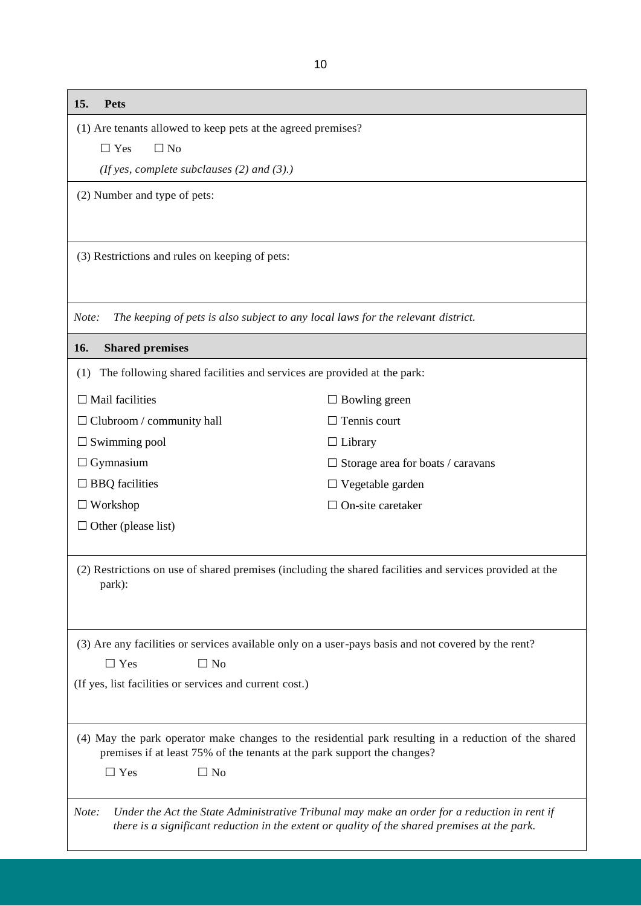| 15. | Pets |
|-----|------|
|     |      |

(1) Are tenants allowed to keep pets at the agreed premises?

 $\Box$  Yes  $\Box$  No

*(If yes, complete subclauses (2) and (3).)*

(2) Number and type of pets:

(3) Restrictions and rules on keeping of pets:

*Note: The keeping of pets is also subject to any local laws for the relevant district.*

#### **16. Shared premises**

|  |  | (1) The following shared facilities and services are provided at the park: |  |  |  |
|--|--|----------------------------------------------------------------------------|--|--|--|
|--|--|----------------------------------------------------------------------------|--|--|--|

 $\square$  Mail facilities

□ Clubroom / community hall

□Swimming pool

 $\Box$  Gymnasium

□ BBQ facilities

□ Workshop

 $\Box$  Other (please list)

(2) Restrictions on use of shared premises (including the shared facilities and services provided at the park):

 $\square$  Bowling green □ Tennis court

□ Vegetable garden □ On-site caretaker

 $\square$  Storage area for boats / caravans

□ Library

(3) Are any facilities or services available only on a user-pays basis and not covered by the rent?

 $\square$  Yes  $\square$  No

(If yes, list facilities or services and current cost.)

(4) May the park operator make changes to the residential park resulting in a reduction of the shared premises if at least 75% of the tenants at the park support the changes?

 $\Box$  Yes  $\Box$  No

*Note: Under the Act the State Administrative Tribunal may make an order for a reduction in rent if there is a significant reduction in the extent or quality of the shared premises at the park.*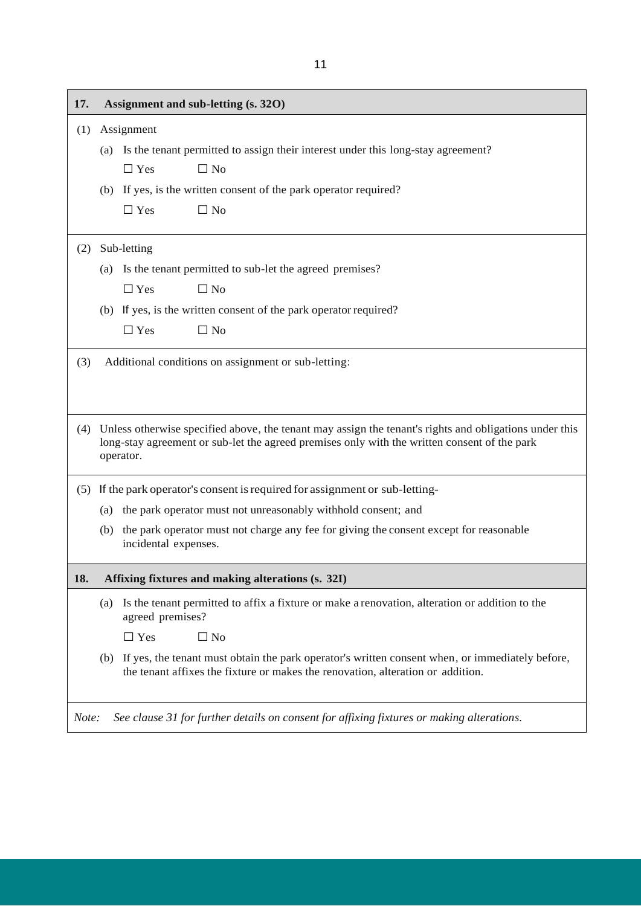| 17.   |     | Assignment and sub-letting (s. 320)                                                                                                                                                                                     |
|-------|-----|-------------------------------------------------------------------------------------------------------------------------------------------------------------------------------------------------------------------------|
| (1)   |     | Assignment                                                                                                                                                                                                              |
|       | (a) | Is the tenant permitted to assign their interest under this long-stay agreement?                                                                                                                                        |
|       |     | $\Box$ Yes<br>$\Box$ No                                                                                                                                                                                                 |
|       |     | (b) If yes, is the written consent of the park operator required?                                                                                                                                                       |
|       |     | $\Box$ Yes<br>$\Box$ No                                                                                                                                                                                                 |
| (2)   |     | Sub-letting                                                                                                                                                                                                             |
|       |     | (a) Is the tenant permitted to sub-let the agreed premises?                                                                                                                                                             |
|       |     | $\Box$ Yes<br>$\Box$ No                                                                                                                                                                                                 |
|       |     | (b) If yes, is the written consent of the park operator required?                                                                                                                                                       |
|       |     | $\Box$ Yes<br>$\Box$ No                                                                                                                                                                                                 |
| (3)   |     | Additional conditions on assignment or sub-letting:                                                                                                                                                                     |
|       |     |                                                                                                                                                                                                                         |
|       |     | (4) Unless otherwise specified above, the tenant may assign the tenant's rights and obligations under this<br>long-stay agreement or sub-let the agreed premises only with the written consent of the park<br>operator. |
| (5)   |     | If the park operator's consent is required for assignment or sub-letting-                                                                                                                                               |
|       | (a) | the park operator must not unreasonably withhold consent; and                                                                                                                                                           |
|       | (b) | the park operator must not charge any fee for giving the consent except for reasonable<br>incidental expenses.                                                                                                          |
| 18.   |     | Affixing fixtures and making alterations (s. 32I)                                                                                                                                                                       |
|       | (a) | Is the tenant permitted to affix a fixture or make a renovation, alteration or addition to the<br>agreed premises?                                                                                                      |
|       |     | $\Box$ No<br>$\Box$ Yes                                                                                                                                                                                                 |
|       | (b) | If yes, the tenant must obtain the park operator's written consent when, or immediately before,<br>the tenant affixes the fixture or makes the renovation, alteration or addition.                                      |
| Note: |     | See clause 31 for further details on consent for affixing fixtures or making alterations.                                                                                                                               |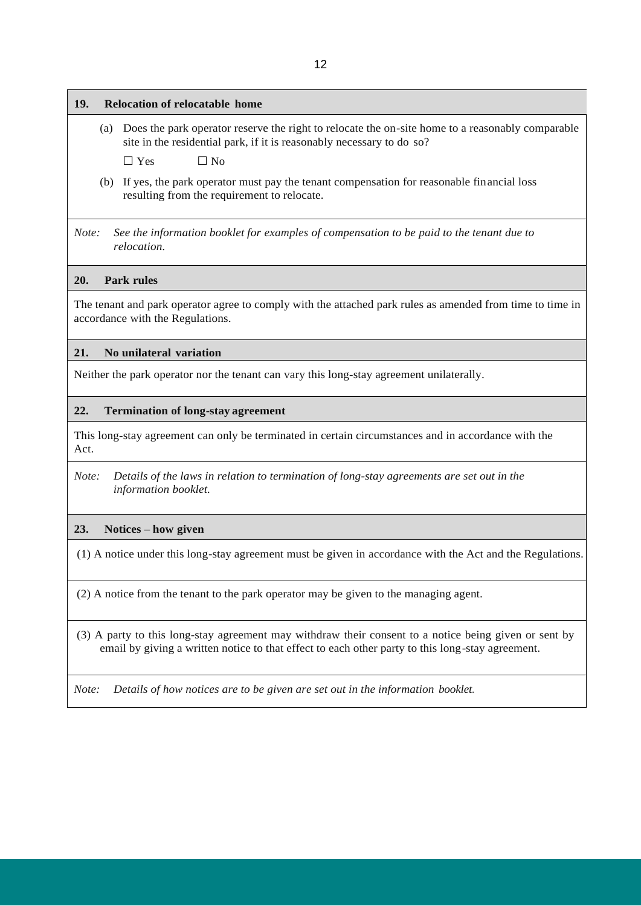| 12                                                                                                                                                                                                        |
|-----------------------------------------------------------------------------------------------------------------------------------------------------------------------------------------------------------|
| 19.<br><b>Relocation of relocatable home</b>                                                                                                                                                              |
| Does the park operator reserve the right to relocate the on-site home to a reasonably comparable<br>(a)<br>site in the residential park, if it is reasonably necessary to do so?                          |
| $\Box$ No<br>$\Box$ Yes                                                                                                                                                                                   |
| If yes, the park operator must pay the tenant compensation for reasonable financial loss<br>(b)<br>resulting from the requirement to relocate.                                                            |
| Note:<br>See the information booklet for examples of compensation to be paid to the tenant due to<br>relocation.                                                                                          |
| 20.<br><b>Park rules</b>                                                                                                                                                                                  |
| The tenant and park operator agree to comply with the attached park rules as amended from time to time in<br>accordance with the Regulations.                                                             |
| No unilateral variation<br>21.                                                                                                                                                                            |
| Neither the park operator nor the tenant can vary this long-stay agreement unilaterally.                                                                                                                  |
| 22.<br><b>Termination of long-stay agreement</b>                                                                                                                                                          |
| This long-stay agreement can only be terminated in certain circumstances and in accordance with the<br>Act.                                                                                               |
| Details of the laws in relation to termination of long-stay agreements are set out in the<br>Note:<br>information booklet.                                                                                |
| 23.<br>Notices – how given                                                                                                                                                                                |
| (1) A notice under this long-stay agreement must be given in accordance with the Act and the Regulations.                                                                                                 |
| (2) A notice from the tenant to the park operator may be given to the managing agent.                                                                                                                     |
| (3) A party to this long-stay agreement may withdraw their consent to a notice being given or sent by<br>email by giving a written notice to that effect to each other party to this long-stay agreement. |

*Note: Details of how notices are to be given are set out in the information booklet.*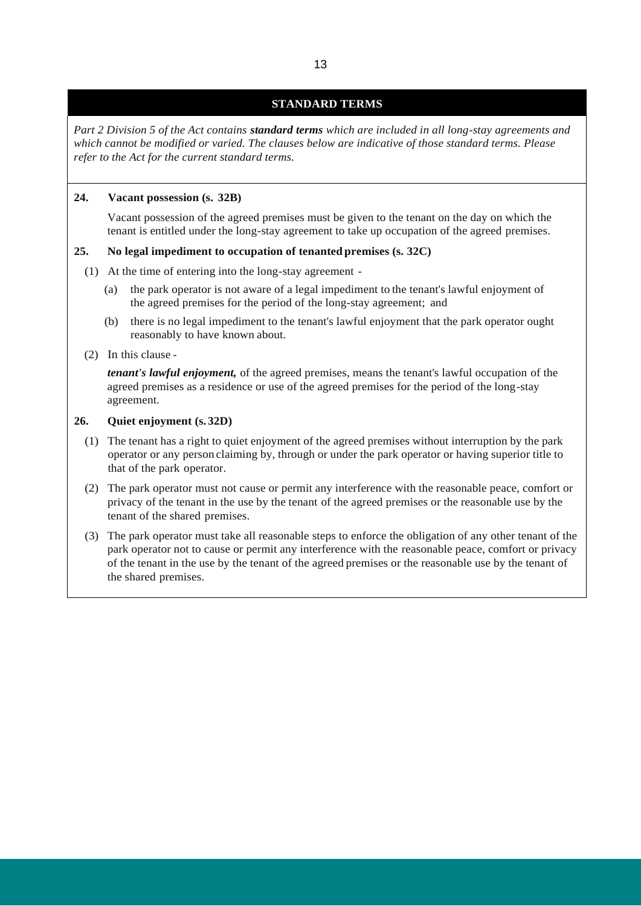## **STANDARD TERMS**

*Part 2 Division 5 of the Act contains standard terms which are included in all long-stay agreements and which cannot be modified or varied. The clauses below are indicative of those standard terms. Please refer to the Act for the current standard terms.*

### **24. Vacant possession (s. 32B)**

Vacant possession of the agreed premises must be given to the tenant on the day on which the tenant is entitled under the long-stay agreement to take up occupation of the agreed premises.

#### **25. No legal impediment to occupation of tenanted premises (s. 32C)**

- (1) At the time of entering into the long-stay agreement
	- (a) the park operator is not aware of a legal impediment to the tenant's lawful enjoyment of the agreed premises for the period of the long-stay agreement; and
	- (b) there is no legal impediment to the tenant's lawful enjoyment that the park operator ought reasonably to have known about.
- (2) In this clause -

*tenant's lawful enjoyment,* of the agreed premises, means the tenant's lawful occupation of the agreed premises as a residence or use of the agreed premises for the period of the long-stay agreement.

## **26. Quiet enjoyment (s. 32D)**

- (1) The tenant has a right to quiet enjoyment of the agreed premises without interruption by the park operator or any person claiming by, through or under the park operator or having superior title to that of the park operator.
- (2) The park operator must not cause or permit any interference with the reasonable peace, comfort or privacy of the tenant in the use by the tenant of the agreed premises or the reasonable use by the tenant of the shared premises.
- (3) The park operator must take all reasonable steps to enforce the obligation of any other tenant of the park operator not to cause or permit any interference with the reasonable peace, comfort or privacy of the tenant in the use by the tenant of the agreed premises or the reasonable use by the tenant of the shared premises.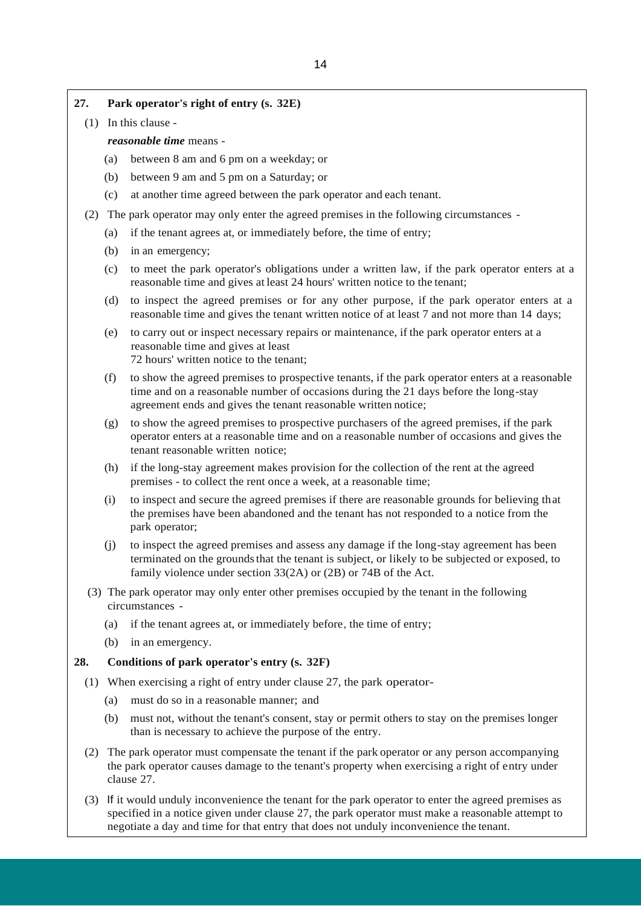## **27. Park operator's right of entry (s. 32E)**

(1) In this clause -

*reasonable time* means -

- (a) between 8 am and 6 pm on a weekday; or
- (b) between 9 am and 5 pm on a Saturday; or
- (c) at another time agreed between the park operator and each tenant.
- (2) The park operator may only enter the agreed premises in the following circumstances
	- (a) if the tenant agrees at, or immediately before, the time of entry;
	- (b) in an emergency;
	- (c) to meet the park operator's obligations under a written law, if the park operator enters at a reasonable time and gives at least 24 hours' written notice to the tenant;
	- (d) to inspect the agreed premises or for any other purpose, if the park operator enters at a reasonable time and gives the tenant written notice of at least 7 and not more than 14 days;
	- (e) to carry out or inspect necessary repairs or maintenance, if the park operator enters at a reasonable time and gives at least 72 hours' written notice to the tenant;
	- (f) to show the agreed premises to prospective tenants, if the park operator enters at a reasonable time and on a reasonable number of occasions during the 21 days before the long-stay agreement ends and gives the tenant reasonable written notice;
	- (g) to show the agreed premises to prospective purchasers of the agreed premises, if the park operator enters at a reasonable time and on a reasonable number of occasions and gives the tenant reasonable written notice;
	- (h) if the long-stay agreement makes provision for the collection of the rent at the agreed premises - to collect the rent once a week, at a reasonable time;
	- (i) to inspect and secure the agreed premises if there are reasonable grounds for believing that the premises have been abandoned and the tenant has not responded to a notice from the park operator;
	- (j) to inspect the agreed premises and assess any damage if the long-stay agreement has been terminated on the groundsthat the tenant is subject, or likely to be subjected or exposed, to family violence under section 33(2A) or (2B) or 74B of the Act.
- (3) The park operator may only enter other premises occupied by the tenant in the following circumstances -
	- (a) if the tenant agrees at, or immediately before, the time of entry;
	- (b) in an emergency.

#### **28. Conditions of park operator's entry (s. 32F)**

- (1) When exercising a right of entry under clause 27, the park operator-
	- (a) must do so in a reasonable manner; and
	- (b) must not, without the tenant's consent, stay or permit others to stay on the premises longer than is necessary to achieve the purpose of the entry.
- (2) The park operator must compensate the tenant if the park operator or any person accompanying the park operator causes damage to the tenant's property when exercising a right of entry under clause 27.
- (3) If it would unduly inconvenience the tenant for the park operator to enter the agreed premises as specified in a notice given under clause 27, the park operator must make a reasonable attempt to negotiate a day and time for that entry that does not unduly inconvenience the tenant.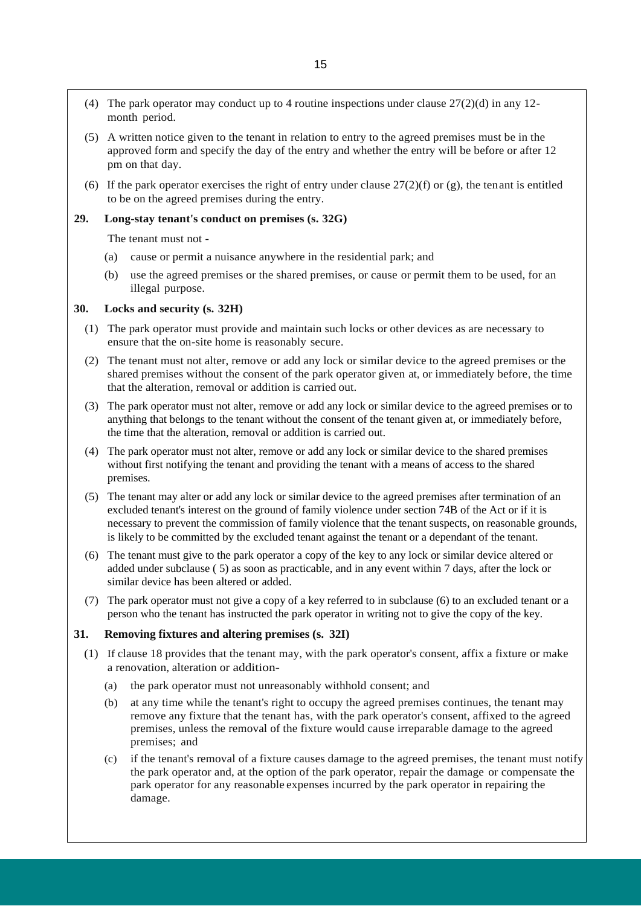- (4) The park operator may conduct up to 4 routine inspections under clause  $27(2)(d)$  in any 12month period.
- (5) A written notice given to the tenant in relation to entry to the agreed premises must be in the approved form and specify the day of the entry and whether the entry will be before or after 12 pm on that day.
- (6) If the park operator exercises the right of entry under clause  $27(2)(f)$  or (g), the tenant is entitled to be on the agreed premises during the entry.

## **29. Long-stay tenant's conduct on premises (s. 32G)**

The tenant must not -

- (a) cause or permit a nuisance anywhere in the residential park; and
- (b) use the agreed premises or the shared premises, or cause or permit them to be used, for an illegal purpose.

#### **30. Locks and security (s. 32H)**

- (1) The park operator must provide and maintain such locks or other devices as are necessary to ensure that the on-site home is reasonably secure.
- (2) The tenant must not alter, remove or add any lock or similar device to the agreed premises or the shared premises without the consent of the park operator given at, or immediately before, the time that the alteration, removal or addition is carried out.
- (3) The park operator must not alter, remove or add any lock or similar device to the agreed premises or to anything that belongs to the tenant without the consent of the tenant given at, or immediately before, the time that the alteration, removal or addition is carried out.
- (4) The park operator must not alter, remove or add any lock or similar device to the shared premises without first notifying the tenant and providing the tenant with a means of access to the shared premises.
- (5) The tenant may alter or add any lock or similar device to the agreed premises after termination of an excluded tenant's interest on the ground of family violence under section 74B of the Act or if it is necessary to prevent the commission of family violence that the tenant suspects, on reasonable grounds, is likely to be committed by the excluded tenant against the tenant or a dependant of the tenant.
- (6) The tenant must give to the park operator a copy of the key to any lock or similar device altered or added under subclause ( 5) as soon as practicable, and in any event within 7 days, after the lock or similar device has been altered or added.
- (7) The park operator must not give a copy of a key referred to in subclause (6) to an excluded tenant or a person who the tenant has instructed the park operator in writing not to give the copy of the key.

## **31. Removing fixtures and altering premises (s. 32I)**

- (1) If clause 18 provides that the tenant may, with the park operator's consent, affix a fixture or make a renovation, alteration or addition-
	- (a) the park operator must not unreasonably withhold consent; and
	- (b) at any time while the tenant's right to occupy the agreed premises continues, the tenant may remove any fixture that the tenant has, with the park operator's consent, affixed to the agreed premises, unless the removal of the fixture would cause irreparable damage to the agreed premises; and
	- (c) if the tenant's removal of a fixture causes damage to the agreed premises, the tenant must notify the park operator and, at the option of the park operator, repair the damage or compensate the park operator for any reasonable expenses incurred by the park operator in repairing the damage.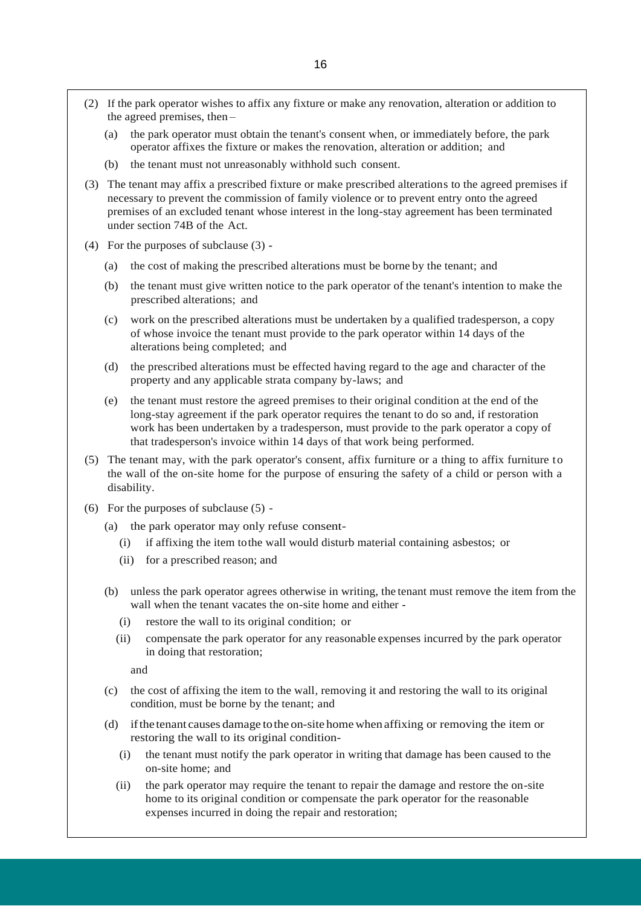- (2) If the park operator wishes to affix any fixture or make any renovation, alteration or addition to the agreed premises, then –
	- (a) the park operator must obtain the tenant's consent when, or immediately before, the park operator affixes the fixture or makes the renovation, alteration or addition; and
	- (b) the tenant must not unreasonably withhold such consent.
- (3) The tenant may affix a prescribed fixture or make prescribed alterations to the agreed premises if necessary to prevent the commission of family violence or to prevent entry onto the agreed premises of an excluded tenant whose interest in the long-stay agreement has been terminated under section 74B of the Act.
- (4) For the purposes of subclause (3)
	- (a) the cost of making the prescribed alterations must be borne by the tenant; and
	- (b) the tenant must give written notice to the park operator of the tenant's intention to make the prescribed alterations; and
	- (c) work on the prescribed alterations must be undertaken by a qualified tradesperson, a copy of whose invoice the tenant must provide to the park operator within 14 days of the alterations being completed; and
	- (d) the prescribed alterations must be effected having regard to the age and character of the property and any applicable strata company by-laws; and
	- (e) the tenant must restore the agreed premises to their original condition at the end of the long-stay agreement if the park operator requires the tenant to do so and, if restoration work has been undertaken by a tradesperson, must provide to the park operator a copy of that tradesperson's invoice within 14 days of that work being performed.
- (5) The tenant may, with the park operator's consent, affix furniture or a thing to affix furniture to the wall of the on-site home for the purpose of ensuring the safety of a child or person with a disability.
- (6) For the purposes of subclause (5)
	- (a) the park operator may only refuse consent-
		- (i) if affixing the item tothe wall would disturb material containing asbestos; or
		- (ii) for a prescribed reason; and
	- (b) unless the park operator agrees otherwise in writing, the tenant must remove the item from the wall when the tenant vacates the on-site home and either -
		- (i) restore the wall to its original condition; or
		- (ii) compensate the park operator for any reasonable expenses incurred by the park operator in doing that restoration;

and

- (c) the cost of affixing the item to the wall, removing it and restoring the wall to its original condition, must be borne by the tenant; and
- (d) ifthe tenant causes damage tothe on-site homewhen affixing or removing the item or restoring the wall to its original condition-
	- (i) the tenant must notify the park operator in writing that damage has been caused to the on-site home; and
	- (ii) the park operator may require the tenant to repair the damage and restore the on-site home to its original condition or compensate the park operator for the reasonable expenses incurred in doing the repair and restoration;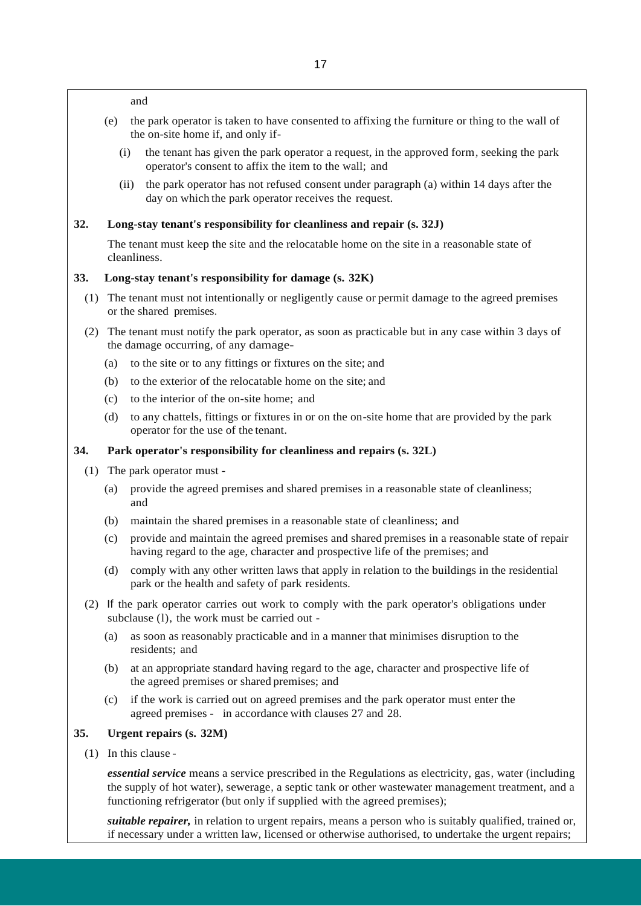and

- (e) the park operator is taken to have consented to affixing the furniture or thing to the wall of the on-site home if, and only if-
	- (i) the tenant has given the park operator a request, in the approved form, seeking the park operator's consent to affix the item to the wall; and
	- (ii) the park operator has not refused consent under paragraph (a) within 14 days after the day on which the park operator receives the request.

#### **32. Long-stay tenant's responsibility for cleanliness and repair (s. 32J)**

The tenant must keep the site and the relocatable home on the site in a reasonable state of cleanliness.

#### **33. Long-stay tenant's responsibility for damage (s. 32K)**

- (1) The tenant must not intentionally or negligently cause or permit damage to the agreed premises or the shared premises.
- (2) The tenant must notify the park operator, as soon as practicable but in any case within 3 days of the damage occurring, of any damage-
	- (a) to the site or to any fittings or fixtures on the site; and
	- (b) to the exterior of the relocatable home on the site; and
	- (c) to the interior of the on-site home; and
	- (d) to any chattels, fittings or fixtures in or on the on-site home that are provided by the park operator for the use of the tenant.

### **34. Park operator's responsibility for cleanliness and repairs (s. 32L)**

- (1) The park operator must
	- (a) provide the agreed premises and shared premises in a reasonable state of cleanliness; and
	- (b) maintain the shared premises in a reasonable state of cleanliness; and
	- (c) provide and maintain the agreed premises and shared premises in a reasonable state of repair having regard to the age, character and prospective life of the premises; and
	- (d) comply with any other written laws that apply in relation to the buildings in the residential park or the health and safety of park residents.
- (2) If the park operator carries out work to comply with the park operator's obligations under subclause (l), the work must be carried out -
	- (a) as soon as reasonably practicable and in a manner that minimises disruption to the residents; and
	- (b) at an appropriate standard having regard to the age, character and prospective life of the agreed premises or shared premises; and
	- (c) if the work is carried out on agreed premises and the park operator must enter the agreed premises - in accordance with clauses 27 and 28.

#### **35. Urgent repairs (s. 32M)**

(1) In this clause -

*essential service* means a service prescribed in the Regulations as electricity, gas, water (including the supply of hot water), sewerage, a septic tank or other wastewater management treatment, and a functioning refrigerator (but only if supplied with the agreed premises);

*suitable repairer,* in relation to urgent repairs, means a person who is suitably qualified, trained or, if necessary under a written law, licensed or otherwise authorised, to undertake the urgent repairs;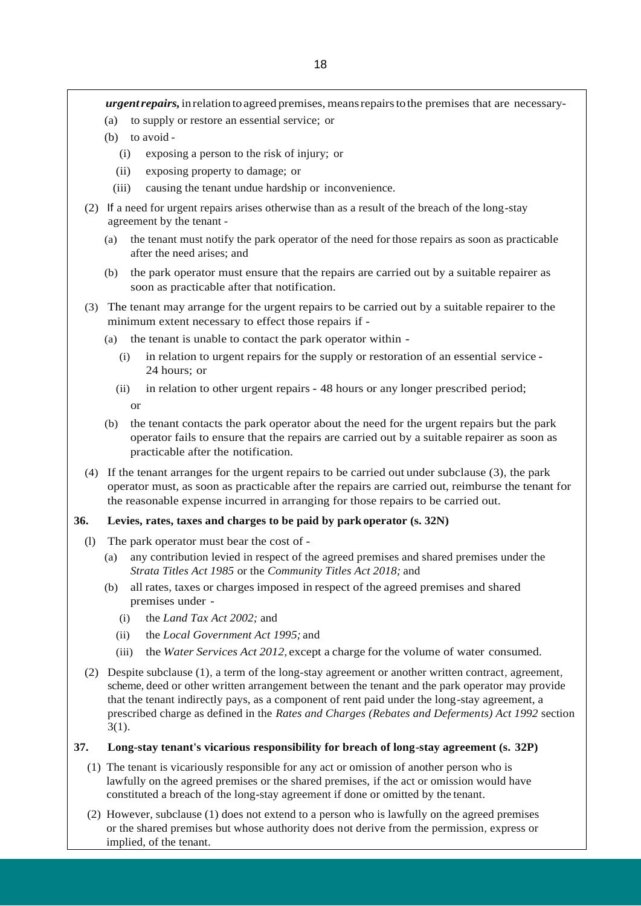*urgentrepairs,*inrelation toagreed premises, meansrepairstothe premises that are necessary-

- (a) to supply or restore an essential service; or
- (b) to avoid
	- (i) exposing a person to the risk of injury; or
	- (ii) exposing property to damage; or
	- (iii) causing the tenant undue hardship or inconvenience.
- (2) If a need for urgent repairs arises otherwise than as a result of the breach of the long-stay agreement by the tenant -
	- (a) the tenant must notify the park operator of the need for those repairs as soon as practicable after the need arises; and
	- (b) the park operator must ensure that the repairs are carried out by a suitable repairer as soon as practicable after that notification.
- (3) The tenant may arrange for the urgent repairs to be carried out by a suitable repairer to the minimum extent necessary to effect those repairs if -
	- (a) the tenant is unable to contact the park operator within
		- (i) in relation to urgent repairs for the supply or restoration of an essential service 24 hours; or
		- (ii) in relation to other urgent repairs 48 hours or any longer prescribed period; or
	- (b) the tenant contacts the park operator about the need for the urgent repairs but the park operator fails to ensure that the repairs are carried out by a suitable repairer as soon as practicable after the notification.
- (4) If the tenant arranges for the urgent repairs to be carried out under subclause (3), the park operator must, as soon as practicable after the repairs are carried out, reimburse the tenant for the reasonable expense incurred in arranging for those repairs to be carried out.

#### **36. Levies, rates, taxes and charges to be paid by park operator (s. 32N)**

- (l) The park operator must bear the cost of
	- (a) any contribution levied in respect of the agreed premises and shared premises under the *Strata Titles Act 1985* or the *Community Titles Act 2018;* and
	- (b) all rates, taxes or charges imposed in respect of the agreed premises and shared premises under -
		- (i) the *Land Tax Act 2002;* and
		- (ii) the *Local Government Act 1995;* and
		- (iii) the *Water Services Act 2012,* except a charge for the volume of water consumed.
- (2) Despite subclause (1), a term of the long-stay agreement or another written contract, agreement, scheme, deed or other written arrangement between the tenant and the park operator may provide that the tenant indirectly pays, as a component of rent paid under the long-stay agreement, a prescribed charge as defined in the *Rates and Charges (Rebates and Deferments) Act 1992* section  $3(1)$ .

## **37. Long-stay tenant's vicarious responsibility for breach of long-stay agreement (s. 32P)**

- (1) The tenant is vicariously responsible for any act or omission of another person who is lawfully on the agreed premises or the shared premises, if the act or omission would have constituted a breach of the long-stay agreement if done or omitted by the tenant.
- (2) However, subclause (1) does not extend to a person who is lawfully on the agreed premises or the shared premises but whose authority does not derive from the permission, express or implied, of the tenant.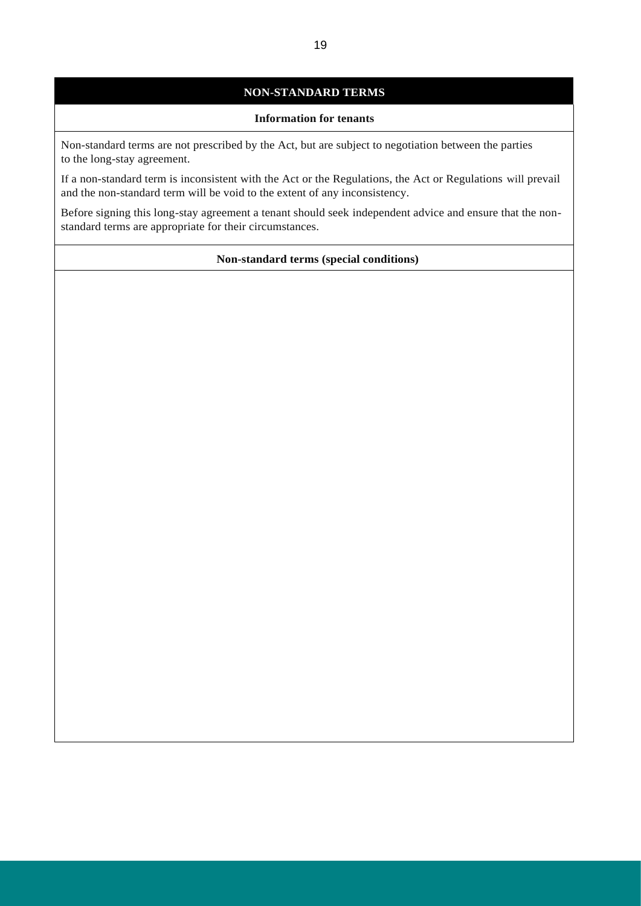## **NON-STANDARD TERMS**

#### **Information for tenants**

Non-standard terms are not prescribed by the Act, but are subject to negotiation between the parties to the long-stay agreement.

If a non-standard term is inconsistent with the Act or the Regulations, the Act or Regulations will prevail and the non-standard term will be void to the extent of any inconsistency.

Before signing this long-stay agreement a tenant should seek independent advice and ensure that the nonstandard terms are appropriate for their circumstances.

## **Non-standard terms (special conditions)**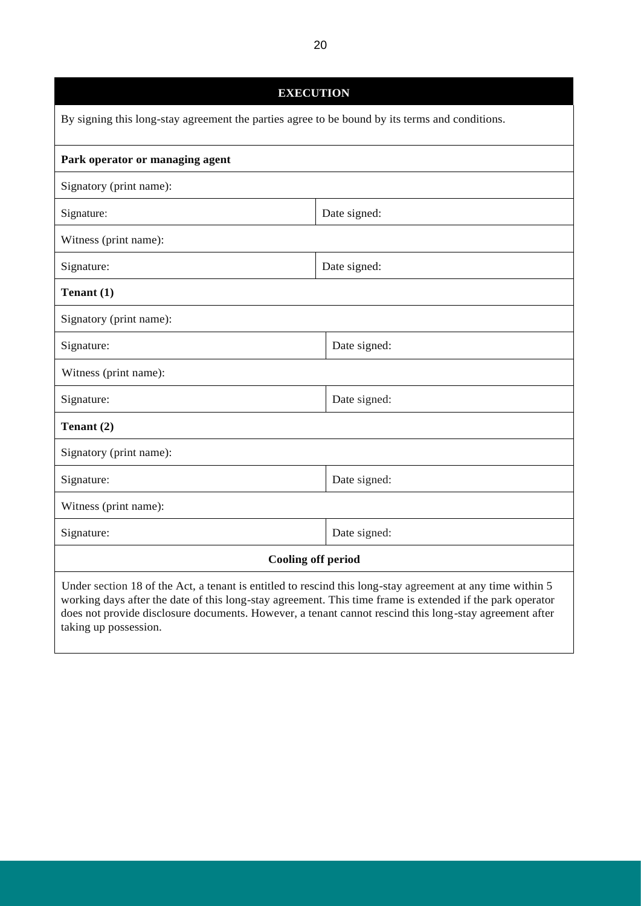**EXECUTION** By signing this long-stay agreement the parties agree to be bound by its terms and conditions. **Park operator or managing agent** Signatory (print name): Signature:  $\log_{10}$  Date signed: Witness (print name): Signature: Date signed: **Tenant (1)** Signatory (print name): Signature: Date signed: Date signed: Witness (print name): Signature: Date signed: Date signed: **Tenant (2)** Signatory (print name): Signature: Date signed: Witness (print name): Signature: Date signed: Date signed: **Cooling off period** Under section 18 of the Act, a tenant is entitled to rescind this long-stay agreement at any time within 5 working days after the date of this long-stay agreement. This time frame is extended if the park operator does not provide disclosure documents. However, a tenant cannot rescind this long-stay agreement after taking up possession.